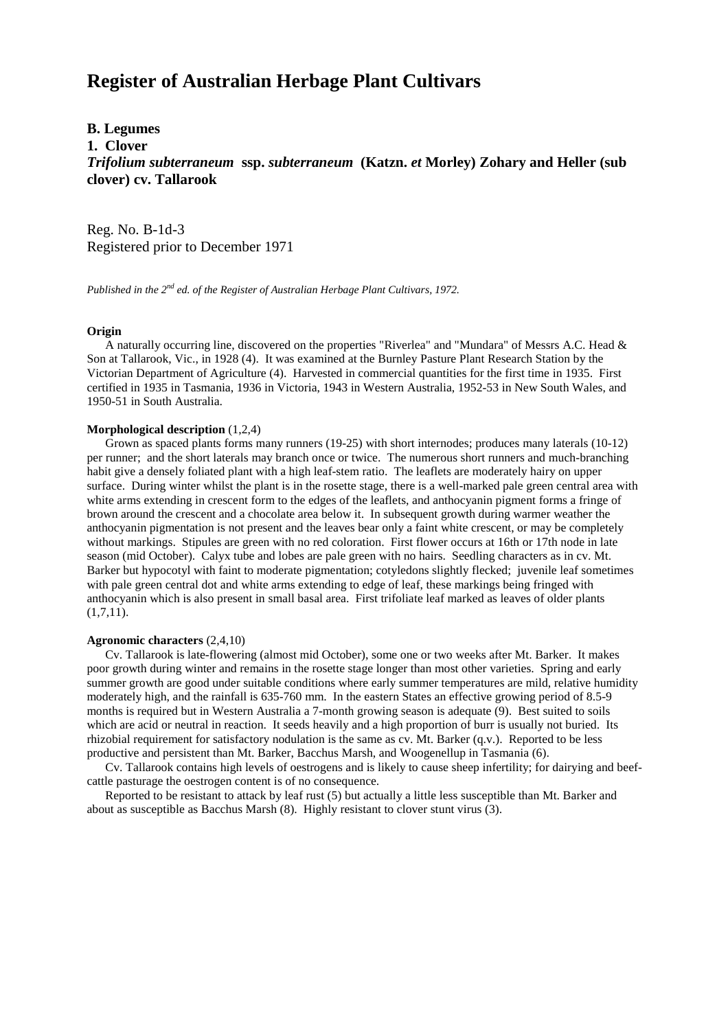# **Register of Australian Herbage Plant Cultivars**

**B. Legumes 1. Clover** *Trifolium subterraneum* **ssp.** *subterraneum* **(Katzn.** *et* **Morley) Zohary and Heller (sub clover) cv. Tallarook**

Reg. No. B-1d-3 Registered prior to December 1971

*Published in the 2nd ed. of the Register of Australian Herbage Plant Cultivars, 1972.*

## **Origin**

 A naturally occurring line, discovered on the properties "Riverlea" and "Mundara" of Messrs A.C. Head & Son at Tallarook, Vic., in 1928 (4). It was examined at the Burnley Pasture Plant Research Station by the Victorian Department of Agriculture (4). Harvested in commercial quantities for the first time in 1935. First certified in 1935 in Tasmania, 1936 in Victoria, 1943 in Western Australia, 1952-53 in New South Wales, and 1950-51 in South Australia.

#### **Morphological description** (1,2,4)

 Grown as spaced plants forms many runners (19-25) with short internodes; produces many laterals (10-12) per runner; and the short laterals may branch once or twice. The numerous short runners and much-branching habit give a densely foliated plant with a high leaf-stem ratio. The leaflets are moderately hairy on upper surface. During winter whilst the plant is in the rosette stage, there is a well-marked pale green central area with white arms extending in crescent form to the edges of the leaflets, and anthocyanin pigment forms a fringe of brown around the crescent and a chocolate area below it. In subsequent growth during warmer weather the anthocyanin pigmentation is not present and the leaves bear only a faint white crescent, or may be completely without markings. Stipules are green with no red coloration. First flower occurs at 16th or 17th node in late season (mid October). Calyx tube and lobes are pale green with no hairs. Seedling characters as in cv. Mt. Barker but hypocotyl with faint to moderate pigmentation; cotyledons slightly flecked; juvenile leaf sometimes with pale green central dot and white arms extending to edge of leaf, these markings being fringed with anthocyanin which is also present in small basal area. First trifoliate leaf marked as leaves of older plants  $(1,7,11)$ .

## **Agronomic characters** (2,4,10)

 Cv. Tallarook is late-flowering (almost mid October), some one or two weeks after Mt. Barker. It makes poor growth during winter and remains in the rosette stage longer than most other varieties. Spring and early summer growth are good under suitable conditions where early summer temperatures are mild, relative humidity moderately high, and the rainfall is 635-760 mm. In the eastern States an effective growing period of 8.5-9 months is required but in Western Australia a 7-month growing season is adequate (9). Best suited to soils which are acid or neutral in reaction. It seeds heavily and a high proportion of burr is usually not buried. Its rhizobial requirement for satisfactory nodulation is the same as cv. Mt. Barker (q.v.). Reported to be less productive and persistent than Mt. Barker, Bacchus Marsh, and Woogenellup in Tasmania (6).

 Cv. Tallarook contains high levels of oestrogens and is likely to cause sheep infertility; for dairying and beefcattle pasturage the oestrogen content is of no consequence.

 Reported to be resistant to attack by leaf rust (5) but actually a little less susceptible than Mt. Barker and about as susceptible as Bacchus Marsh (8). Highly resistant to clover stunt virus (3).